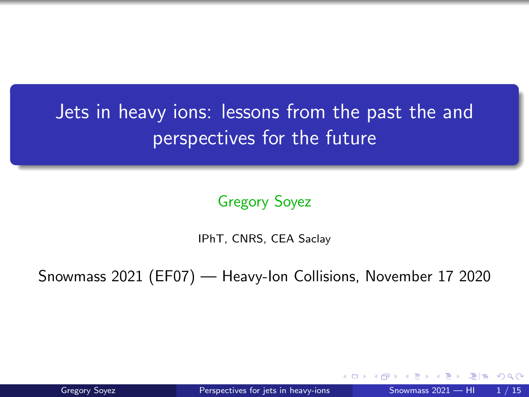# <span id="page-0-0"></span>Jets in heavy ions: lessons from the past the and perspectives for the future

Gregory Soyez

IPhT, CNRS, CEA Saclay

Snowmass 2021 (EF07) — Heavy-Ion Collisions, November 17 2020

ミミ りょい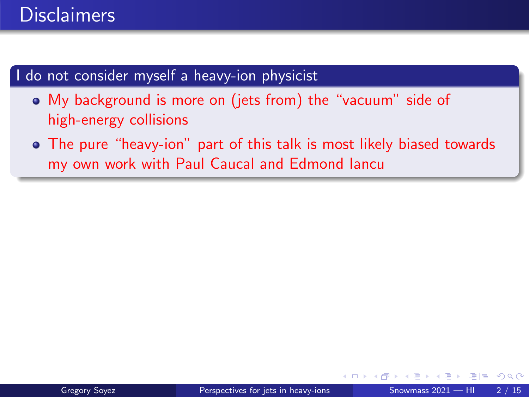### **Disclaimers**

#### I do not consider myself a heavy-ion physicist

- My background is more on (jets from) the "vacuum" side of high-energy collisions
- The pure "heavy-ion" part of this talk is most likely biased towards my own work with Paul Caucal and Edmond Iancu

通信 めなめ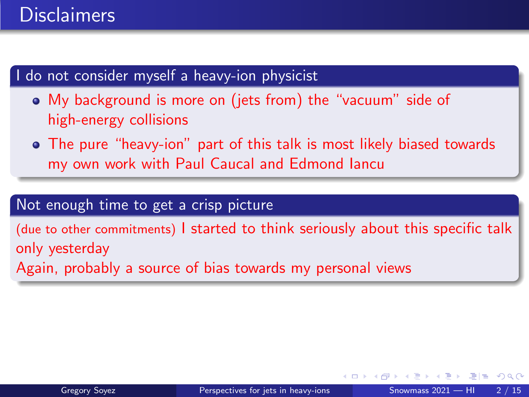### **Disclaimers**

#### I do not consider myself a heavy-ion physicist

My background is more on (jets from) the "vacuum" side of high-energy collisions

The pure "heavy-ion" part of this talk is most likely biased towards my own work with Paul Caucal and Edmond Iancu

#### Not enough time to get a crisp picture

(due to other commitments) I started to think seriously about this specific talk only yesterday Again, probably a source of bias towards my personal views

通信 めなめ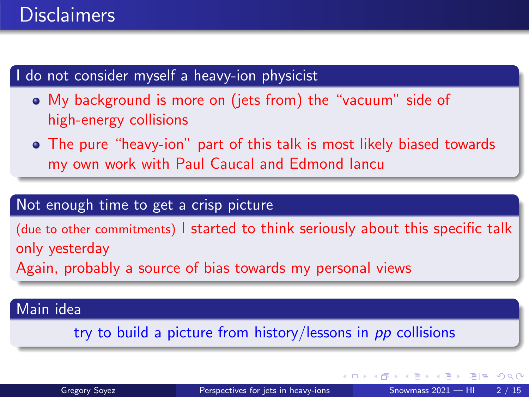### **Disclaimers**

#### I do not consider myself a heavy-ion physicist

My background is more on (jets from) the "vacuum" side of high-energy collisions

The pure "heavy-ion" part of this talk is most likely biased towards my own work with Paul Caucal and Edmond Iancu

#### Not enough time to get a crisp picture

(due to other commitments) I started to think seriously about this specific talk only yesterday Again, probably a source of bias towards my personal views

#### Main idea

try to build a picture from history/lessons in pp collisions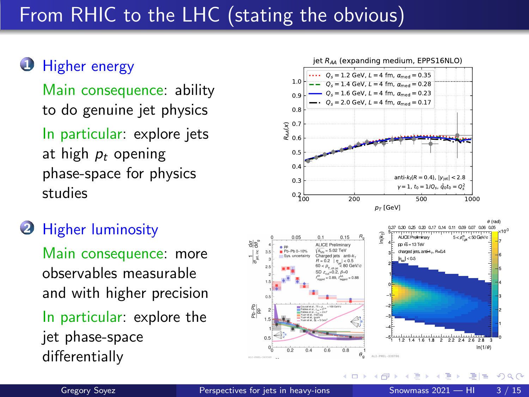# From RHIC to the LHC (stating the obvious)

#### **U** Higher energy

Main consequence: ability to do genuine jet physics

In particular: explore jets at high  $p_t$  opening phase-space for physics studies

#### **2** Higher luminosity

Main consequence: more observables measurable and with higher precision In particular: explore the jet phase-space

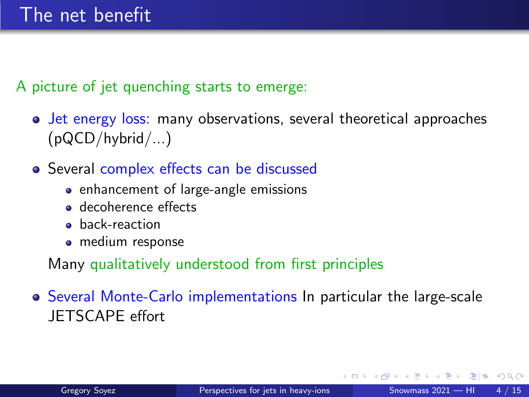A picture of jet quenching starts to emerge:

- Jet energy loss: many observations, several theoretical approaches  $(pQCD/hvbrid/...)$
- Several complex effects can be discussed
	- **•** enhancement of large-angle emissions
	- **a** decoherence effects
	- **a** back-reaction
	- medium response

Many qualitatively understood from first principles

Several Monte-Carlo implementations In particular the large-scale JETSCAPE effort

 $F = \Omega$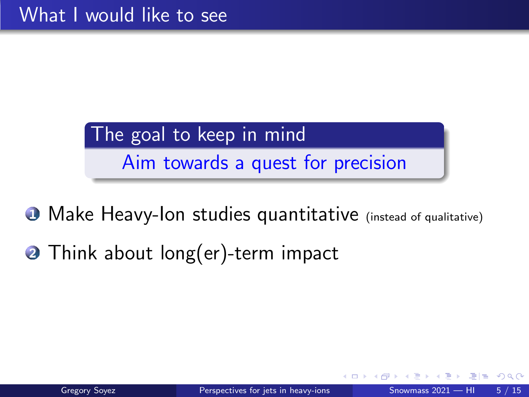# The goal to keep in mind Aim towards a quest for precision

- **O** Make Heavy-Ion studies quantitative (instead of qualitative)
- **2** Think about long(er)-term impact

 $=$  900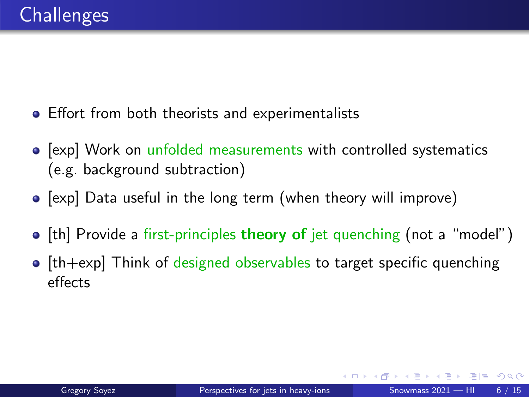- **•** Effort from both theorists and experimentalists
- [exp] Work on unfolded measurements with controlled systematics (e.g. background subtraction)
- $\bullet$  [exp] Data useful in the long term (when theory will improve)
- [th] Provide a first-principles theory of jet quenching (not a "model")
- $\bullet$  [th+exp] Think of designed observables to target specific quenching effects

E H W E H I H H M Q C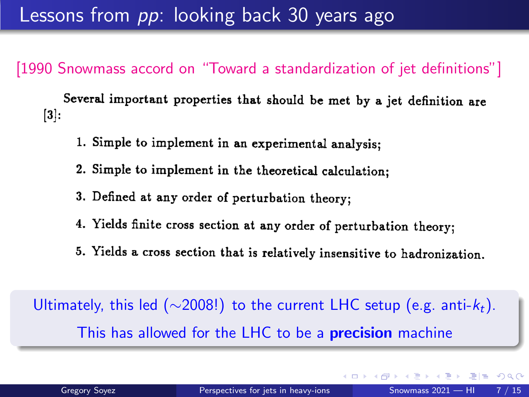Lessons from *pp*: looking back 30 years ago

[1990 Snowmass accord on "Toward a standardization of jet definitions"]

Several important properties that should be met by a jet definition are  $\vert 3 \vert$ :

- 1. Simple to implement in an experimental analysis:
- 2. Simple to implement in the theoretical calculation;
- 3. Defined at any order of perturbation theory;
- 4. Yields finite cross section at any order of perturbation theory;
- 5. Yields a cross section that is relatively insensitive to hadronization.

Ultimately, this led ( $\sim$ 2008!) to the current LHC setup (e.g. anti- $k_t$ ). This has allowed for the LHC to be a **precision** machine

 $E \cap Q$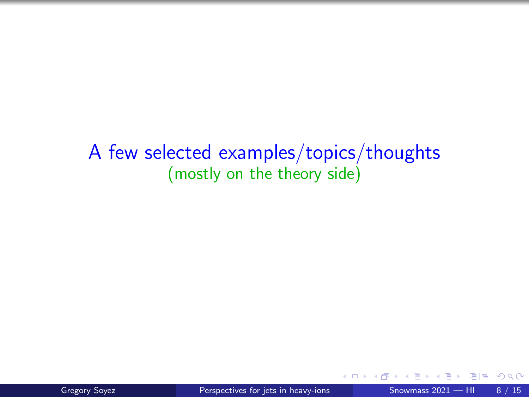### A few selected examples/topics/thoughts (mostly on the theory side)

 $\leftarrow$ 

 $F = \Omega Q$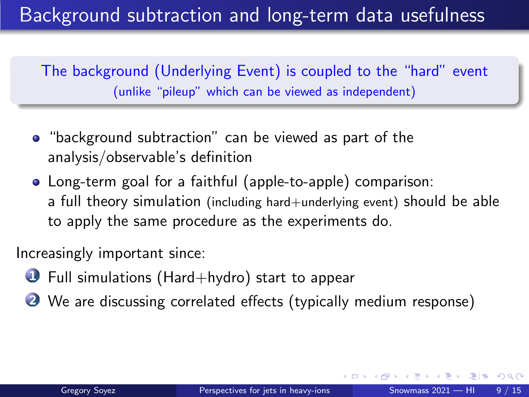# Background subtraction and long-term data usefulness

The background (Underlying Event) is coupled to the "hard" event (unlike "pileup" which can be viewed as independent)

- "background subtraction" can be viewed as part of the analysis/observable's definition
- Long-term goal for a faithful (apple-to-apple) comparison: a full theory simulation (including hard+underlying event) should be able to apply the same procedure as the experiments do.

Increasingly important since:

- $\bullet$  Full simulations (Hard+hydro) start to appear
- We are discussing correlated effects (typically medium response)

 $F = \Omega$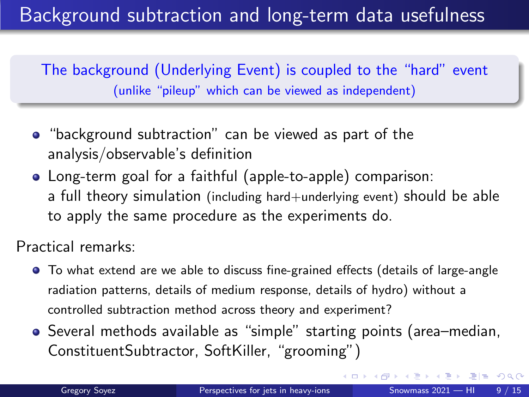# Background subtraction and long-term data usefulness

The background (Underlying Event) is coupled to the "hard" event (unlike "pileup" which can be viewed as independent)

- "background subtraction" can be viewed as part of the analysis/observable's definition
- Long-term goal for a faithful (apple-to-apple) comparison: a full theory simulation (including hard+underlying event) should be able to apply the same procedure as the experiments do.

Practical remarks:

- To what extend are we able to discuss fine-grained effects (details of large-angle radiation patterns, details of medium response, details of hydro) without a controlled subtraction method across theory and experiment?
- Several methods available as "simple" starting points (area–median, ConstituentSubtractor, SoftKiller, "grooming")

 $F = \Omega$ 

化重 网络重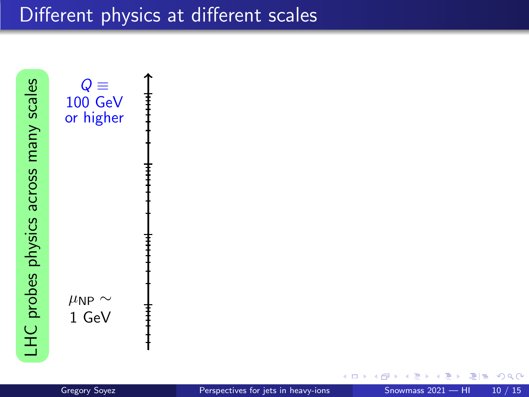LHC probes physics across many scales LHC probes physics across many scales



 $2980$ 그녀 남자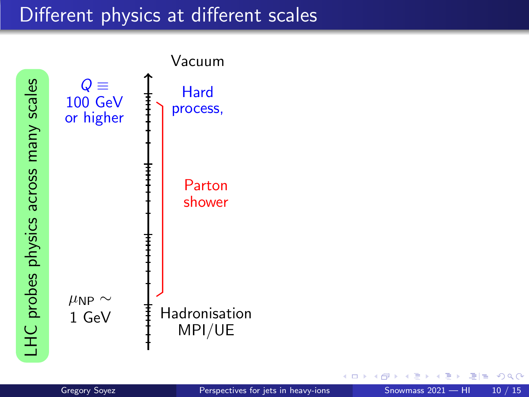

←□

ミミ りゅん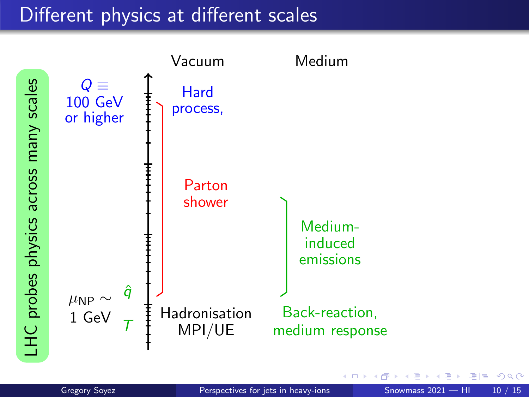

 $\Omega$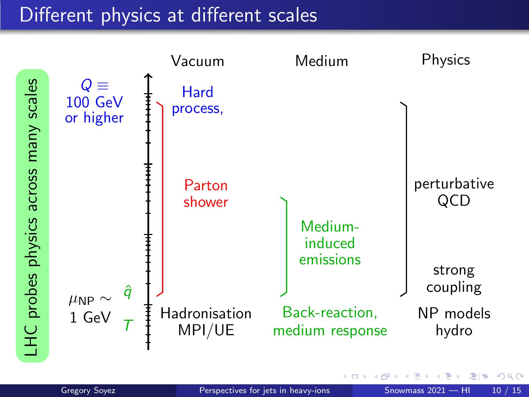

 $\Omega$ 

그녀 남자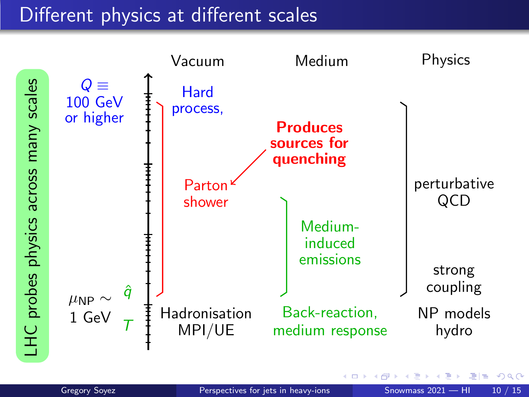

 $QQ$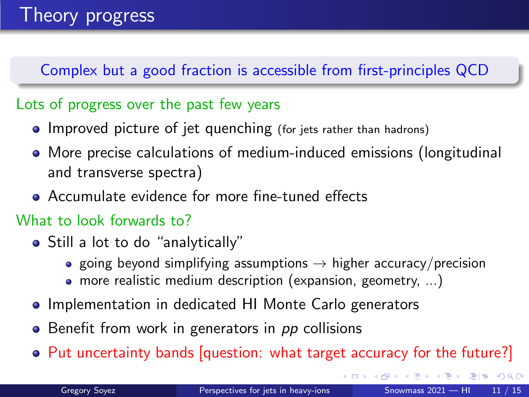Complex but a good fraction is accessible from first-principles QCD

#### Lots of progress over the past few years

- Improved picture of jet quenching (for jets rather than hadrons)
- More precise calculations of medium-induced emissions (longitudinal and transverse spectra)
- Accumulate evidence for more fine-tuned effects

#### What to look forwards to?

- Still a lot to do "analytically"
	- going beyond simplifying assumptions  $\rightarrow$  higher accuracy/precision
	- more realistic medium description (expansion, geometry, ...)
- Implementation in dedicated HI Monte Carlo generators
- Benefit from work in generators in pp collisions
- Put uncertainty bands [question: what target accuracy for the future?]

K □ ▶ K 何 ▶ K 로 ▶ K 로 ▶ 그리는 K) Q (^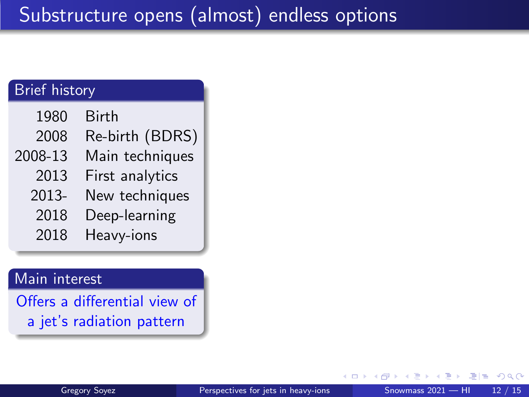| <b>Brief history</b> |                 |
|----------------------|-----------------|
| 1980                 | <b>Birth</b>    |
| 2008                 | Re-birth (BDRS) |
| 2008-13              | Main techniques |
| 2013                 | First analytics |
| 2013-                | New techniques  |
| 2018                 | Deep-learning   |
| 2018                 | Heavy-ions      |
|                      |                 |

#### Main interest

Offers a differential view of a jet's radiation pattern

 $\Omega$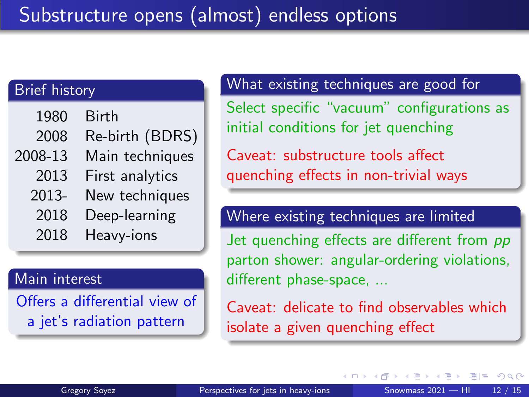#### Brief history

| 1980    | <b>Birth</b>    |
|---------|-----------------|
|         |                 |
| 2008    | Re-birth (BDRS) |
| 2008-13 | Main techniques |
| 2013    | First analytics |
| 2013-   | New techniques  |
| 2018    | Deep-learning   |
| 2018    | Heavy-ions      |

#### Main interest

Offers a differential view of a jet's radiation pattern

#### What existing techniques are good for

Select specific "vacuum" configurations as initial conditions for jet quenching

Caveat: substructure tools affect quenching effects in non-trivial ways

#### Where existing techniques are limited

Jet quenching effects are different from pp parton shower: angular-ordering violations, different phase-space, ...

Caveat: delicate to find observables which isolate a given quenching effect

4 **E** F

医氯化医

 $F = \Omega Q$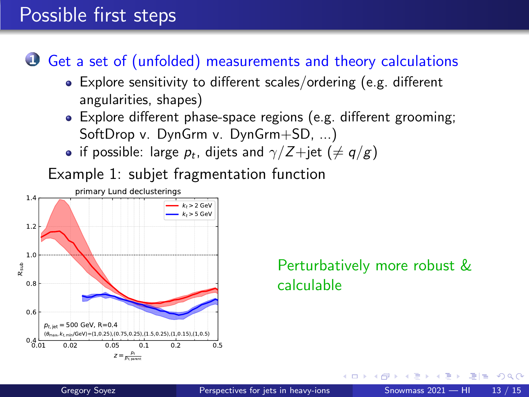### Possible first steps

### Get a set of (unfolded) measurements and theory calculations

- Explore sensitivity to different scales/ordering (e.g. different angularities, shapes)
- Explore different phase-space regions (e.g. different grooming; SoftDrop v. DynGrm v. DynGrm+SD, ...)
- if possible: large  $p_t$ , dijets and  $\gamma/Z+{\rm jet}~(\neq q/g)$

Example 1: subjet fragmentation function



#### Perturbatively more robust & calculable

 $E|E \cap Q \cap Q$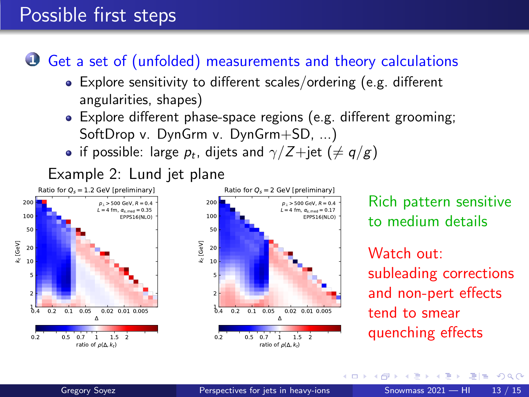### Possible first steps

#### Get a set of (unfolded) measurements and theory calculations

- Explore sensitivity to different scales/ordering (e.g. different angularities, shapes)
- Explore different phase-space regions (e.g. different grooming; SoftDrop v. DynGrm v. DynGrm+SD, ...)
- if possible: large  $p_t$ , dijets and  $\gamma/Z+{\rm jet}~(\neq q/g)$



Rich pattern sensitive to medium details

Watch out: subleading corrections and non-pert effects tend to smear quenching effects

 $\leftarrow$   $\Box$ 

 $E|E \cap Q$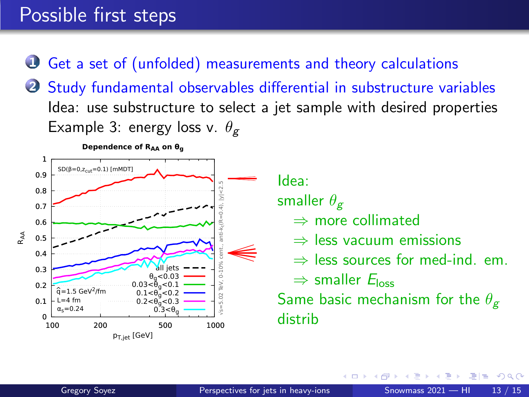### Possible first steps

Get a set of (unfolded) measurements and theory calculations

2 Study fundamental observables differential in substructure variables Idea: use substructure to select a jet sample with desired properties Example 3: energy loss v.  $\theta_{g}$ 



Idea:

smaller  $\theta_{\sigma}$ 

- $\Rightarrow$  more collimated
- ⇒ less vacuum emissions
- $\Rightarrow$  less sources for med-ind. em.

 $\Rightarrow$  smaller  $E_{loss}$ 

Same basic mechanism for the  $\theta_{\varphi}$ distrib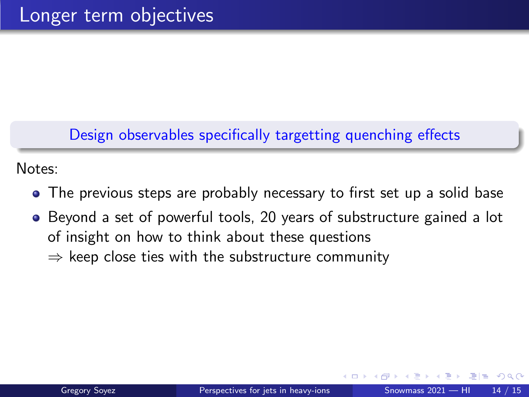#### Design observables specifically targetting quenching effects

Notes:

- The previous steps are probably necessary to first set up a solid base
- Beyond a set of powerful tools, 20 years of substructure gained a lot of insight on how to think about these questions  $\Rightarrow$  keep close ties with the substructure community

通信 めなめ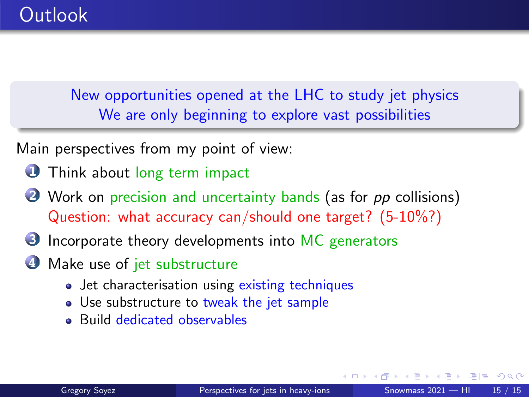<span id="page-24-0"></span>New opportunities opened at the LHC to study jet physics We are only beginning to explore vast possibilities

Main perspectives from my point of view:

- **O** Think about long term impact
- **2** Work on precision and uncertainty bands (as for pp collisions) Question: what accuracy can/should one target? (5-10%?)
- **3** Incorporate theory developments into MC generators
- **4** Make use of jet substructure
	- Jet characterisation using existing techniques
	- Use substructure to tweak the jet sample
	- Build dedicated observables

 $\triangleright$   $\exists \exists$   $\exists$   $\land$   $\land$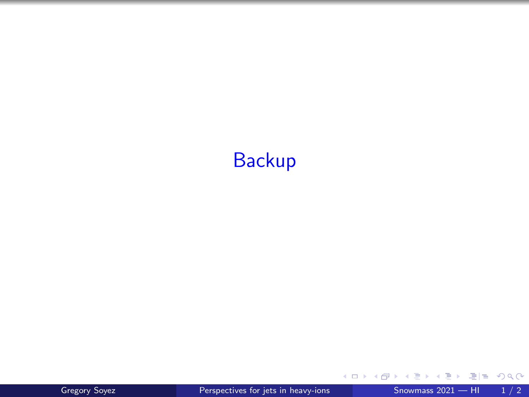### **Backup**

E  $\mathcal{A}$  .

**Kロト K個 K** 

 $\blacktriangleright \neg \blacktriangleleft \exists \blacktriangleright \neg \exists \exists \exists \neg \vartriangleleft \mathsf{Q} \, \mathsf{Q}^{\mathsf{U}}$